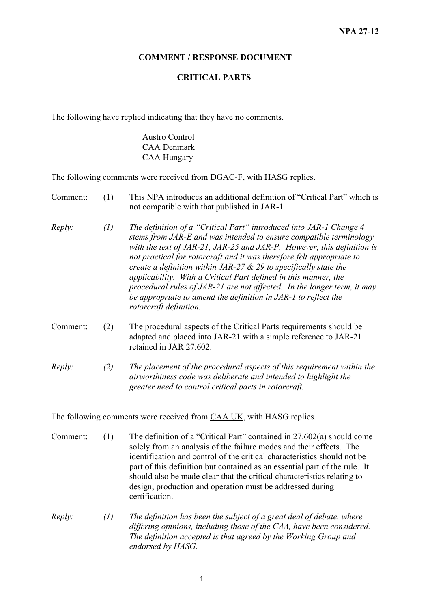## **COMMENT / RESPONSE DOCUMENT**

## **CRITICAL PARTS**

The following have replied indicating that they have no comments.

Austro Control CAA Denmark CAA Hungary

The following comments were received from **DGAC-F**, with HASG replies.

- Comment: (1) This NPA introduces an additional definition of "Critical Part" which is not compatible with that published in JAR-1
- *Reply: (1) The definition of a "Critical Part" introduced into JAR-1 Change 4 stems from JAR-E and was intended to ensure compatible terminology with the text of JAR-21, JAR-25 and JAR-P. However, this definition is not practical for rotorcraft and it was therefore felt appropriate to create a definition within JAR-27 & 29 to specifically state the applicability. With a Critical Part defined in this manner, the procedural rules of JAR-21 are not affected. In the longer term, it may be appropriate to amend the definition in JAR-1 to reflect the rotorcraft definition.*
- Comment: (2) The procedural aspects of the Critical Parts requirements should be adapted and placed into JAR-21 with a simple reference to JAR-21 retained in JAR 27.602.
- *Reply: (2) The placement of the procedural aspects of this requirement within the airworthiness code was deliberate and intended to highlight the greater need to control critical parts in rotorcraft.*

The following comments were received from CAA UK, with HASG replies.

- Comment: (1) The definition of a "Critical Part" contained in 27.602(a) should come solely from an analysis of the failure modes and their effects. The identification and control of the critical characteristics should not be part of this definition but contained as an essential part of the rule. It should also be made clear that the critical characteristics relating to design, production and operation must be addressed during certification.
- *Reply: (1) The definition has been the subject of a great deal of debate, where differing opinions, including those of the CAA, have been considered. The definition accepted is that agreed by the Working Group and endorsed by HASG.*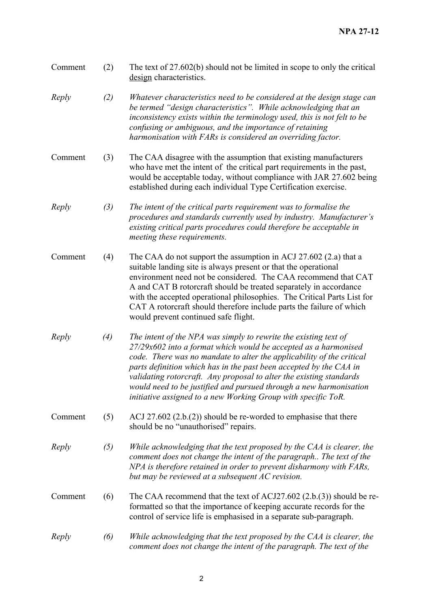| Comment | (2) | The text of $27.602(b)$ should not be limited in scope to only the critical<br>design characteristics.                                                                                                                                                                                                                                                                                                                                                                                           |
|---------|-----|--------------------------------------------------------------------------------------------------------------------------------------------------------------------------------------------------------------------------------------------------------------------------------------------------------------------------------------------------------------------------------------------------------------------------------------------------------------------------------------------------|
| Reply   | (2) | Whatever characteristics need to be considered at the design stage can<br>be termed "design characteristics". While acknowledging that an<br>inconsistency exists within the terminology used, this is not felt to be<br>confusing or ambiguous, and the importance of retaining<br>harmonisation with FARs is considered an overriding factor.                                                                                                                                                  |
| Comment | (3) | The CAA disagree with the assumption that existing manufacturers<br>who have met the intent of the critical part requirements in the past,<br>would be acceptable today, without compliance with JAR 27.602 being<br>established during each individual Type Certification exercise.                                                                                                                                                                                                             |
| Reply   | (3) | The intent of the critical parts requirement was to formalise the<br>procedures and standards currently used by industry. Manufacturer's<br>existing critical parts procedures could therefore be acceptable in<br>meeting these requirements.                                                                                                                                                                                                                                                   |
| Comment | (4) | The CAA do not support the assumption in ACJ 27.602 $(2.a)$ that a<br>suitable landing site is always present or that the operational<br>environment need not be considered. The CAA recommend that CAT<br>A and CAT B rotorcraft should be treated separately in accordance<br>with the accepted operational philosophies. The Critical Parts List for<br>CAT A rotorcraft should therefore include parts the failure of which<br>would prevent continued safe flight.                          |
| Reply   | (4) | The intent of the NPA was simply to rewrite the existing text of<br>27/29x602 into a format which would be accepted as a harmonised<br>code. There was no mandate to alter the applicability of the critical<br>parts definition which has in the past been accepted by the CAA in<br>validating rotorcraft. Any proposal to alter the existing standards<br>would need to be justified and pursued through a new harmonisation<br>initiative assigned to a new Working Group with specific ToR. |
| Comment | (5) | ACJ 27.602 $(2.b.(2))$ should be re-worded to emphasise that there<br>should be no "unauthorised" repairs.                                                                                                                                                                                                                                                                                                                                                                                       |
| Reply   | (5) | While acknowledging that the text proposed by the CAA is clearer, the<br>comment does not change the intent of the paragraph The text of the<br>NPA is therefore retained in order to prevent disharmony with FARs,<br>but may be reviewed at a subsequent AC revision.                                                                                                                                                                                                                          |
| Comment | (6) | The CAA recommend that the text of ACJ27.602 $(2.b.(3))$ should be re-<br>formatted so that the importance of keeping accurate records for the<br>control of service life is emphasised in a separate sub-paragraph.                                                                                                                                                                                                                                                                             |
| Reply   | (6) | While acknowledging that the text proposed by the CAA is clearer, the<br>comment does not change the intent of the paragraph. The text of the                                                                                                                                                                                                                                                                                                                                                    |